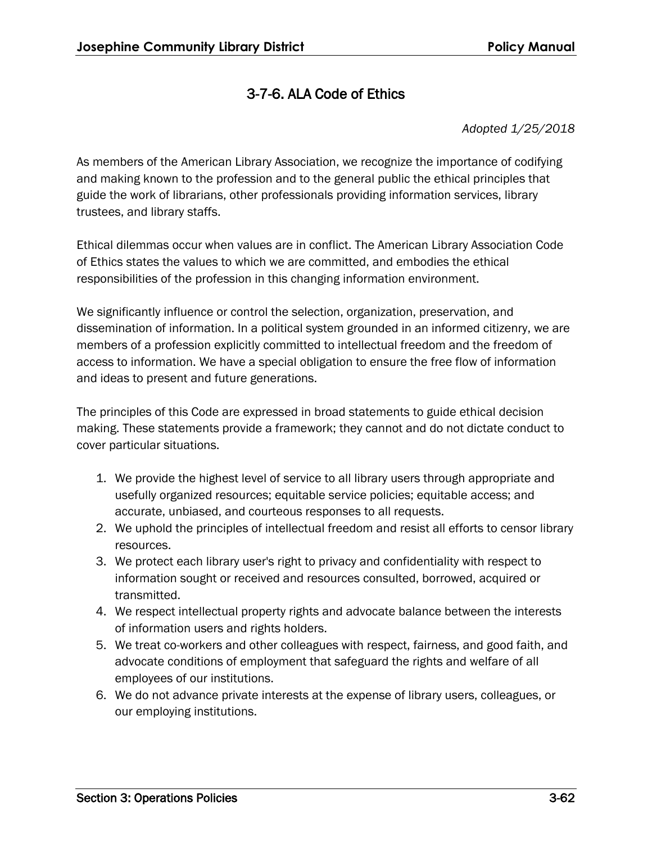## 3-7-6. ALA Code of Ethics

*Adopted 1/25/2018*

As members of the American Library Association, we recognize the importance of codifying and making known to the profession and to the general public the ethical principles that guide the work of librarians, other professionals providing information services, library trustees, and library staffs.

Ethical dilemmas occur when values are in conflict. The American Library Association Code of Ethics states the values to which we are committed, and embodies the ethical responsibilities of the profession in this changing information environment.

We significantly influence or control the selection, organization, preservation, and dissemination of information. In a political system grounded in an informed citizenry, we are members of a profession explicitly committed to intellectual freedom and the freedom of access to information. We have a special obligation to ensure the free flow of information and ideas to present and future generations.

The principles of this Code are expressed in broad statements to guide ethical decision making. These statements provide a framework; they cannot and do not dictate conduct to cover particular situations.

- 1. We provide the highest level of service to all library users through appropriate and usefully organized resources; equitable service policies; equitable access; and accurate, unbiased, and courteous responses to all requests.
- 2. We uphold the principles of intellectual freedom and resist all efforts to censor library resources.
- 3. We protect each library user's right to privacy and confidentiality with respect to information sought or received and resources consulted, borrowed, acquired or transmitted.
- 4. We respect intellectual property rights and advocate balance between the interests of information users and rights holders.
- 5. We treat co-workers and other colleagues with respect, fairness, and good faith, and advocate conditions of employment that safeguard the rights and welfare of all employees of our institutions.
- 6. We do not advance private interests at the expense of library users, colleagues, or our employing institutions.